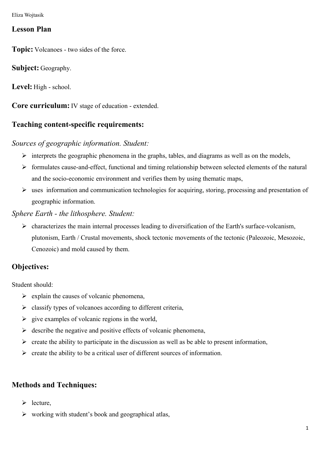Eliza Wojtasik

#### **Lesson Plan**

**Topic:** Volcanoes - two sides of the force.

**Subject:** Geography.

**Level:** High - school.

**Core curriculum:**IV stage of education - extended.

## **Teaching content-specific requirements:**

#### *Sources of geographic information. Student:*

- $\triangleright$  interprets the geographic phenomena in the graphs, tables, and diagrams as well as on the models,
- $\triangleright$  formulates cause-and-effect, functional and timing relationship between selected elements of the natural and the socio-economic environment and verifies them by using thematic maps,
- $\triangleright$  uses information and communication technologies for acquiring, storing, processing and presentation of geographic information.

#### *Sphere Earth - the lithosphere. Student:*

 $\triangleright$  characterizes the main internal processes leading to diversification of the Earth's surface-volcanism, plutonism, Earth / Crustal movements, shock tectonic movements of the tectonic (Paleozoic, Mesozoic, Cenozoic) and mold caused by them.

## **Objectives:**

Student should:

- $\triangleright$  explain the causes of volcanic phenomena,
- $\triangleright$  classify types of volcanoes according to different criteria,
- $\triangleright$  give examples of volcanic regions in the world,
- $\triangleright$  describe the negative and positive effects of volcanic phenomena,
- $\triangleright$  create the ability to participate in the discussion as well as be able to present information,
- $\triangleright$  create the ability to be a critical user of different sources of information.

## **Methods and Techniques:**

- $\triangleright$  lecture,
- $\triangleright$  working with student's book and geographical atlas,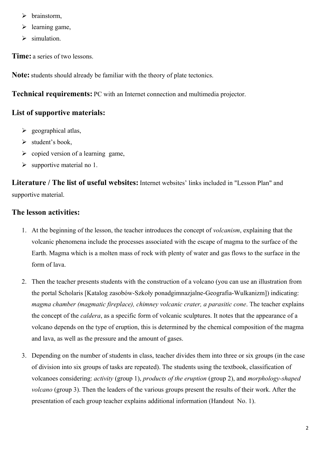- $\triangleright$  brainstorm
- $\triangleright$  learning game,
- $\triangleright$  simulation.

**Time:** a series of two lessons.

**Note:** students should already be familiar with the theory of plate tectonics.

**Technical requirements:** PC with an Internet connection and multimedia projector.

# **List of supportive materials:**

- $\triangleright$  geographical atlas,
- $\blacktriangleright$  student's book.
- $\triangleright$  copied version of a learning game,
- $\triangleright$  supportive material no 1.

**Literature / The list of useful websites:** Internet websites' links included in "Lesson Plan" and supportive material.

# **The lesson activities:**

- 1. At the beginning of the lesson, the teacher introduces the concept of *volcanism*, explaining that the volcanic phenomena include the processes associated with the escape of magma to the surface of the Earth. Magma which is a molten mass of rock with plenty of water and gas flows to the surface in the form of lava.
- 2. Then the teacher presents students with the construction of a volcano (you can use an illustration from the portal Scholaris [Katalog zasobów-Szkoły ponadgimnazjalne-Geografia-Wulkanizm]) indicating: *magma chamber (magmatic fireplace), chimney volcanic crater, a parasitic cone*. The teacher explains the concept of the *caldera*, as a specific form of volcanic sculptures. It notes that the appearance of a volcano depends on the type of eruption, this is determined by the chemical composition of the magma and lava, as well as the pressure and the amount of gases.
- 3. Depending on the number of students in class, teacher divides them into three or six groups (in the case of division into six groups of tasks are repeated). The students using the textbook, classification of volcanoes considering: *activity* (group 1), *products of the eruption* (group 2), and *morphology-shaped volcano* (group 3). Then the leaders of the various groups present the results of their work. After the presentation of each group teacher explains additional information (Handout No. 1).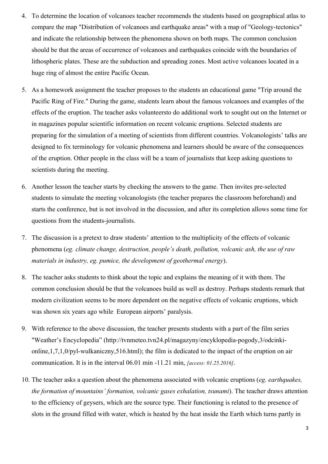- 4. To determine the location of volcanoes teacher recommends the students based on geographical atlas to compare the map "Distribution of volcanoes and earthquake areas" with a map of "Geology-tectonics" and indicate the relationship between the phenomena shown on both maps. The common conclusion should be that the areas of occurrence of volcanoes and earthquakes coincide with the boundaries of lithospheric plates. These are the subduction and spreading zones. Most active volcanoes located in a huge ring of almost the entire Pacific Ocean.
- 5. As a homework assignment the teacher proposes to the students an educational game "Trip around the Pacific Ring of Fire." During the game, students learn about the famous volcanoes and examples of the effects of the eruption. The teacher asks volunteersto do additional work to sought out on the Internet or in magazines popular scientific information on recent volcanic eruptions. Selected students are preparing for the simulation of a meeting of scientists from different countries. Volcanologists' talks are designed to fix terminology for volcanic phenomena and learners should be aware of the consequences of the eruption. Other people in the class will be a team of journalists that keep asking questions to scientists during the meeting.
- 6. Another lesson the teacher starts by checking the answers to the game. Then invites pre-selected students to simulate the meeting volcanologists (the teacher prepares the classroom beforehand) and starts the conference, but is not involved in the discussion, and after its completion allows some time for questions from the students-journalists.
- 7. The discussion is a pretext to draw students' attention to the multiplicity of the effects of volcanic phenomena (*eg. climate change, destruction, people's death, pollution, volcanic ash, the use of raw materials in industry, eg. pumice, the development of geothermal energy*).
- 8. The teacher asks students to think about the topic and explains the meaning of it with them. The common conclusion should be that the volcanoes build as well as destroy. Perhaps students remark that modern civilization seems to be more dependent on the negative effects of volcanic eruptions, which was shown six years ago while European airports' paralysis.
- 9. With reference to the above discussion, the teacher presents students with a part of the film series "Weather's Encyclopedia" (http://tvnmeteo.tvn24.pl/magazyny/encyklopedia-pogody,3/odcinkionline,1,7,1,0/pyl-wulkaniczny,516.html); the film is dedicated to the impact of the eruption on air communication. It is in the interval 06.01 min -11.21 min, *[access: 01.25.2016]*.
- 10. The teacher asks a question about the phenomena associated with volcanic eruptions (*eg. earthquakes, the formation of mountains' formation, volcanic gases exhalation, tsunami*). The teacher draws attention to the efficiency of geysers, which are the source type. Their functioning is related to the presence of slots in the ground filled with water, which is heated by the heat inside the Earth which turns partly in